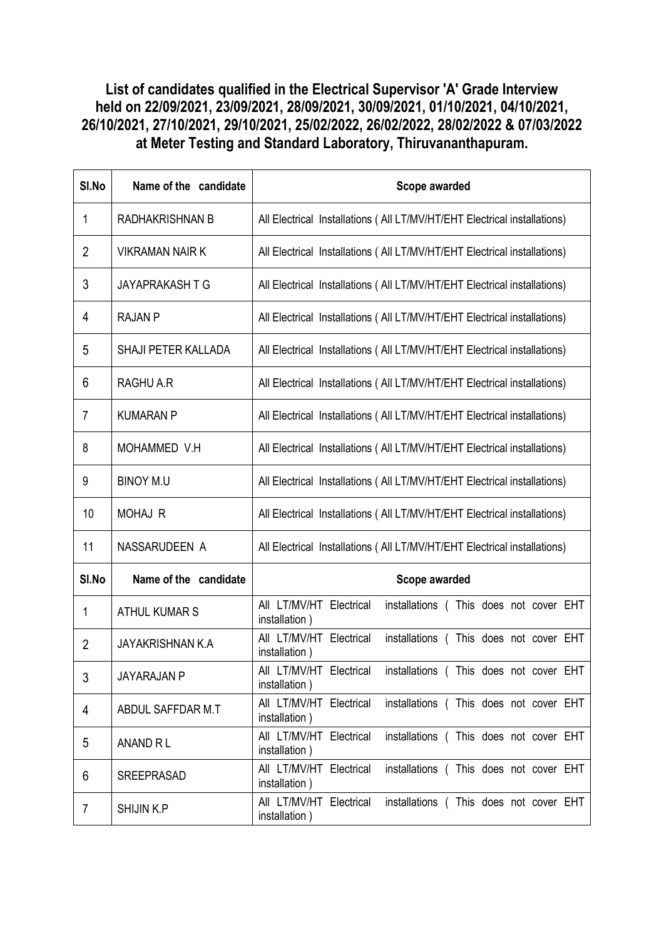## List of candidates qualified in the Electrical Supervisor 'A' Grade Interview held on 22/09/2021, 23/09/2021, 28/09/2021, 30/09/2021, 01/10/2021, 04/10/2021, 26/10/2021, 27/10/2021, 29/10/2021, 25/02/2022, 26/02/2022, 28/02/2022 & 07/03/2022 at Meter Testing and Standard Laboratory, Thiruvananthapuram.

| SI.No          | Name of the candidate   | Scope awarded                                                                      |
|----------------|-------------------------|------------------------------------------------------------------------------------|
| 1              | RADHAKRISHNAN B         | All Electrical Installations (All LT/MV/HT/EHT Electrical installations)           |
| $\overline{2}$ | <b>VIKRAMAN NAIR K</b>  | All Electrical Installations (All LT/MV/HT/EHT Electrical installations)           |
| 3              | <b>JAYAPRAKASH T G</b>  | All Electrical Installations (All LT/MV/HT/EHT Electrical installations)           |
| 4              | <b>RAJAN P</b>          | All Electrical Installations (All LT/MV/HT/EHT Electrical installations)           |
| 5              | SHAJI PETER KALLADA     | All Electrical Installations (All LT/MV/HT/EHT Electrical installations)           |
| 6              | RAGHU A.R               | All Electrical Installations (All LT/MV/HT/EHT Electrical installations)           |
| 7              | <b>KUMARAN P</b>        | All Electrical Installations (All LT/MV/HT/EHT Electrical installations)           |
| 8              | MOHAMMED V.H            | All Electrical Installations (All LT/MV/HT/EHT Electrical installations)           |
| 9              | <b>BINOY M.U</b>        | All Electrical Installations (All LT/MV/HT/EHT Electrical installations)           |
| 10             | <b>MOHAJ R</b>          | All Electrical Installations (All LT/MV/HT/EHT Electrical installations)           |
| 11             | NASSARUDEEN A           | All Electrical Installations (All LT/MV/HT/EHT Electrical installations)           |
| SI.No          | Name of the candidate   | Scope awarded                                                                      |
| 1              | <b>ATHUL KUMAR S</b>    | All LT/MV/HT Electrical<br>installations (This does not cover EHT<br>installation) |
| $\overline{2}$ | <b>JAYAKRISHNAN K.A</b> | All LT/MV/HT Electrical<br>installations (This does not cover EHT<br>installation) |
| 3              | <b>JAYARAJAN P</b>      | All LT/MV/HT Electrical installations (This does not cover EHT<br>installation)    |
| 4              | ABDUL SAFFDAR M.T       | All LT/MV/HT Electrical<br>installations (This does not cover EHT<br>installation) |
| 5              | ANAND RL                | All LT/MV/HT Electrical<br>installations (This does not cover EHT<br>installation) |
| 6              | <b>SREEPRASAD</b>       | All LT/MV/HT Electrical<br>installations (This does not cover EHT<br>installation) |
| 7              | <b>SHIJIN K.P</b>       | All LT/MV/HT Electrical<br>installations (This does not cover EHT<br>installation) |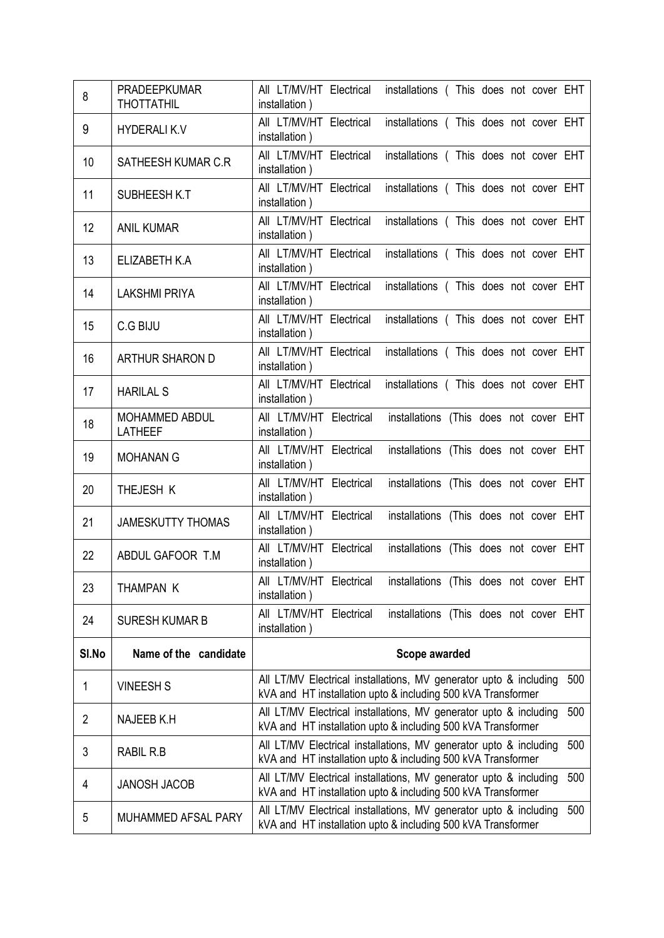| 8              | <b>PRADEEPKUMAR</b><br><b>THOTTATHIL</b> | All LT/MV/HT Electrical<br>installations (This does not cover EHT<br>installation)                                                       |
|----------------|------------------------------------------|------------------------------------------------------------------------------------------------------------------------------------------|
| 9              | <b>HYDERALIK.V</b>                       | All LT/MV/HT Electrical<br>installations (This does not cover EHT<br>installation)                                                       |
| 10             | SATHEESH KUMAR C.R                       | All LT/MV/HT Electrical<br>installations (This does not cover EHT<br>installation)                                                       |
| 11             | SUBHEESH K.T                             | All LT/MV/HT Electrical<br>installations (This does not cover EHT<br>installation)                                                       |
| 12             | <b>ANIL KUMAR</b>                        | All LT/MV/HT Electrical<br>installations (This does not cover EHT<br>installation)                                                       |
| 13             | ELIZABETH K.A                            | All LT/MV/HT Electrical<br>installations (This does not cover EHT<br>installation)                                                       |
| 14             | <b>LAKSHMI PRIYA</b>                     | All LT/MV/HT Electrical<br>installations (This does not cover EHT<br>installation)                                                       |
| 15             | C.G BIJU                                 | All LT/MV/HT Electrical<br>installations (This does not cover EHT<br>installation)                                                       |
| 16             | <b>ARTHUR SHARON D</b>                   | All LT/MV/HT Electrical<br>installations (This does not cover EHT<br>installation)                                                       |
| 17             | <b>HARILAL S</b>                         | All LT/MV/HT Electrical<br>installations (This does not cover EHT<br>installation)                                                       |
| 18             | MOHAMMED ABDUL<br><b>LATHEEF</b>         | All LT/MV/HT Electrical<br>installations (This does not cover EHT<br>installation)                                                       |
| 19             | <b>MOHANAN G</b>                         | All LT/MV/HT Electrical<br>installations (This does not cover EHT<br>installation)                                                       |
| 20             | THEJESH K                                | All LT/MV/HT Electrical<br>installations (This does not cover EHT<br>installation)                                                       |
| 21             | <b>JAMESKUTTY THOMAS</b>                 | All LT/MV/HT Electrical<br>installations (This does not cover EHT<br>installation)                                                       |
| 22             | ABDUL GAFOOR T.M                         | All LT/MV/HT Electrical<br>installations (This does not cover EHT<br>installation)                                                       |
| 23             | THAMPAN K                                | installations (This does not cover EHT<br>All LT/MV/HT Electrical<br>installation)                                                       |
| 24             | <b>SURESH KUMAR B</b>                    | installations (This does not cover EHT<br>aii lt/mv/ht<br>Electrical<br>installation)                                                    |
| SI.No          | Name of the candidate                    | Scope awarded                                                                                                                            |
| 1              | <b>VINEESH S</b>                         | All LT/MV Electrical installations, MV generator upto & including<br>500<br>kVA and HT installation upto & including 500 kVA Transformer |
| $\overline{2}$ | NAJEEB K.H                               | All LT/MV Electrical installations, MV generator upto & including<br>500<br>kVA and HT installation upto & including 500 kVA Transformer |
| 3              | RABIL R.B                                | All LT/MV Electrical installations, MV generator upto & including<br>500<br>kVA and HT installation upto & including 500 kVA Transformer |
| 4              | <b>JANOSH JACOB</b>                      | All LT/MV Electrical installations, MV generator upto & including<br>500<br>kVA and HT installation upto & including 500 kVA Transformer |
| 5              | MUHAMMED AFSAL PARY                      | All LT/MV Electrical installations, MV generator upto & including<br>500<br>kVA and HT installation upto & including 500 kVA Transformer |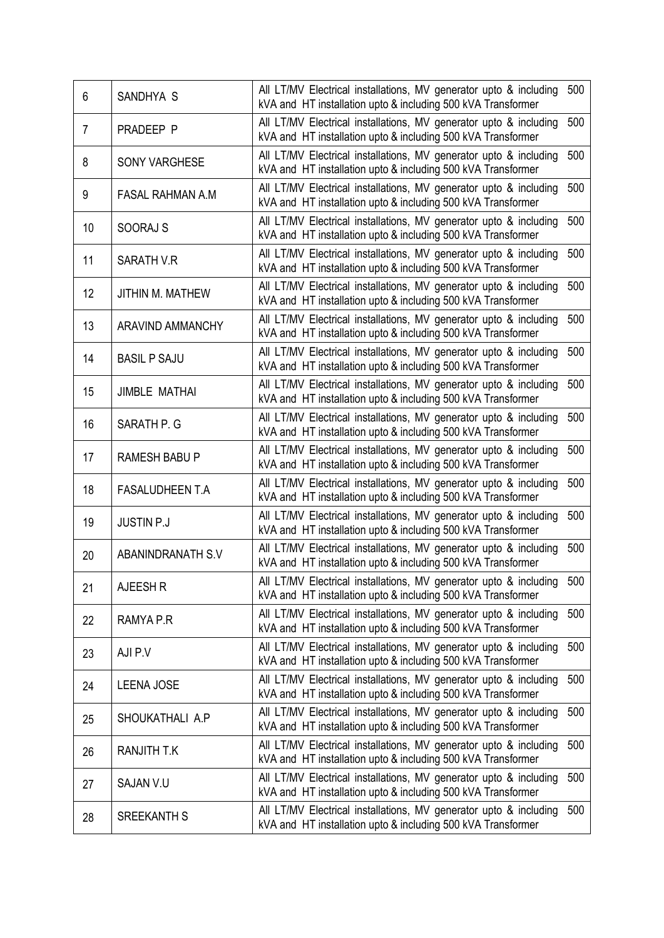| 6  | SANDHYA S                | All LT/MV Electrical installations, MV generator upto & including<br>kVA and HT installation upto & including 500 kVA Transformer | 500 |
|----|--------------------------|-----------------------------------------------------------------------------------------------------------------------------------|-----|
| 7  | PRADEEP P                | All LT/MV Electrical installations, MV generator upto & including<br>kVA and HT installation upto & including 500 kVA Transformer | 500 |
| 8  | <b>SONY VARGHESE</b>     | All LT/MV Electrical installations, MV generator upto & including<br>kVA and HT installation upto & including 500 kVA Transformer | 500 |
| 9  | <b>FASAL RAHMAN A.M</b>  | All LT/MV Electrical installations, MV generator upto & including<br>kVA and HT installation upto & including 500 kVA Transformer | 500 |
| 10 | <b>SOORAJ S</b>          | All LT/MV Electrical installations, MV generator upto & including<br>kVA and HT installation upto & including 500 kVA Transformer | 500 |
| 11 | SARATH V.R               | All LT/MV Electrical installations, MV generator upto & including<br>kVA and HT installation upto & including 500 kVA Transformer | 500 |
| 12 | <b>JITHIN M. MATHEW</b>  | All LT/MV Electrical installations, MV generator upto & including<br>kVA and HT installation upto & including 500 kVA Transformer | 500 |
| 13 | <b>ARAVIND AMMANCHY</b>  | All LT/MV Electrical installations, MV generator upto & including<br>kVA and HT installation upto & including 500 kVA Transformer | 500 |
| 14 | <b>BASIL P SAJU</b>      | All LT/MV Electrical installations, MV generator upto & including<br>kVA and HT installation upto & including 500 kVA Transformer | 500 |
| 15 | <b>JIMBLE MATHAI</b>     | All LT/MV Electrical installations, MV generator upto & including<br>kVA and HT installation upto & including 500 kVA Transformer | 500 |
| 16 | SARATH P. G              | All LT/MV Electrical installations, MV generator upto & including<br>kVA and HT installation upto & including 500 kVA Transformer | 500 |
| 17 | <b>RAMESH BABU P</b>     | All LT/MV Electrical installations, MV generator upto & including<br>kVA and HT installation upto & including 500 kVA Transformer | 500 |
| 18 | <b>FASALUDHEEN T.A</b>   | All LT/MV Electrical installations, MV generator upto & including<br>kVA and HT installation upto & including 500 kVA Transformer | 500 |
| 19 | <b>JUSTIN P.J</b>        | All LT/MV Electrical installations, MV generator upto & including<br>kVA and HT installation upto & including 500 kVA Transformer | 500 |
| 20 | <b>ABANINDRANATH S.V</b> | All LT/MV Electrical installations, MV generator upto & including<br>kVA and HT installation upto & including 500 kVA Transformer | 500 |
| 21 | AJEESH R                 | All LT/MV Electrical installations, MV generator upto & including<br>kVA and HT installation upto & including 500 kVA Transformer | 500 |
| 22 | RAMYA P.R                | All LT/MV Electrical installations, MV generator upto & including<br>kVA and HT installation upto & including 500 kVA Transformer | 500 |
| 23 | AJI P.V                  | All LT/MV Electrical installations, MV generator upto & including<br>kVA and HT installation upto & including 500 kVA Transformer | 500 |
| 24 | <b>LEENA JOSE</b>        | All LT/MV Electrical installations, MV generator upto & including<br>kVA and HT installation upto & including 500 kVA Transformer | 500 |
| 25 | SHOUKATHALI A.P          | All LT/MV Electrical installations, MV generator upto & including<br>kVA and HT installation upto & including 500 kVA Transformer | 500 |
| 26 | RANJITH T.K              | All LT/MV Electrical installations, MV generator upto & including<br>kVA and HT installation upto & including 500 kVA Transformer | 500 |
| 27 | SAJAN V.U                | All LT/MV Electrical installations, MV generator upto & including<br>kVA and HT installation upto & including 500 kVA Transformer | 500 |
| 28 | <b>SREEKANTH S</b>       | All LT/MV Electrical installations, MV generator upto & including<br>kVA and HT installation upto & including 500 kVA Transformer | 500 |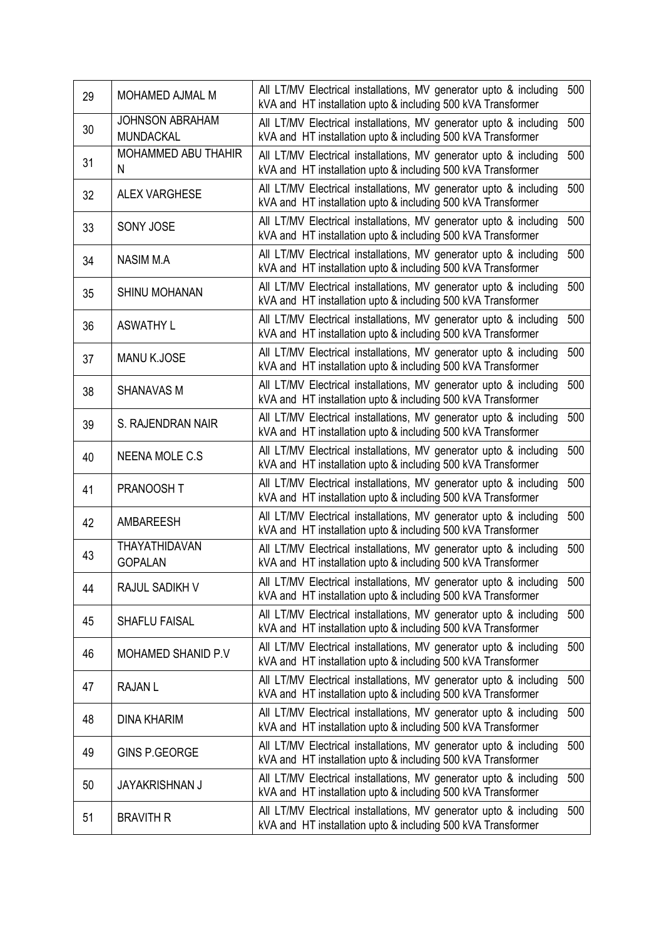| 29 | MOHAMED AJMAL M                            | All LT/MV Electrical installations, MV generator upto & including<br>kVA and HT installation upto & including 500 kVA Transformer | 500 |
|----|--------------------------------------------|-----------------------------------------------------------------------------------------------------------------------------------|-----|
| 30 | <b>JOHNSON ABRAHAM</b><br><b>MUNDACKAL</b> | All LT/MV Electrical installations, MV generator upto & including<br>kVA and HT installation upto & including 500 kVA Transformer | 500 |
| 31 | MOHAMMED ABU THAHIR<br>N                   | All LT/MV Electrical installations, MV generator upto & including<br>kVA and HT installation upto & including 500 kVA Transformer | 500 |
| 32 | <b>ALEX VARGHESE</b>                       | All LT/MV Electrical installations, MV generator upto & including<br>kVA and HT installation upto & including 500 kVA Transformer | 500 |
| 33 | <b>SONY JOSE</b>                           | All LT/MV Electrical installations, MV generator upto & including<br>kVA and HT installation upto & including 500 kVA Transformer | 500 |
| 34 | <b>NASIM M.A</b>                           | All LT/MV Electrical installations, MV generator upto & including<br>kVA and HT installation upto & including 500 kVA Transformer | 500 |
| 35 | <b>SHINU MOHANAN</b>                       | All LT/MV Electrical installations, MV generator upto & including<br>kVA and HT installation upto & including 500 kVA Transformer | 500 |
| 36 | <b>ASWATHY L</b>                           | All LT/MV Electrical installations, MV generator upto & including<br>kVA and HT installation upto & including 500 kVA Transformer | 500 |
| 37 | <b>MANU K.JOSE</b>                         | All LT/MV Electrical installations, MV generator upto & including<br>kVA and HT installation upto & including 500 kVA Transformer | 500 |
| 38 | <b>SHANAVAS M</b>                          | All LT/MV Electrical installations, MV generator upto & including<br>kVA and HT installation upto & including 500 kVA Transformer | 500 |
| 39 | S. RAJENDRAN NAIR                          | All LT/MV Electrical installations, MV generator upto & including<br>kVA and HT installation upto & including 500 kVA Transformer | 500 |
| 40 | <b>NEENA MOLE C.S</b>                      | All LT/MV Electrical installations, MV generator upto & including<br>kVA and HT installation upto & including 500 kVA Transformer | 500 |
| 41 | <b>PRANOOSH T</b>                          | All LT/MV Electrical installations, MV generator upto & including<br>kVA and HT installation upto & including 500 kVA Transformer | 500 |
| 42 | <b>AMBAREESH</b>                           | All LT/MV Electrical installations, MV generator upto & including<br>kVA and HT installation upto & including 500 kVA Transformer | 500 |
| 43 | THAYATHIDAVAN<br><b>GOPALAN</b>            | All LT/MV Electrical installations, MV generator upto & including<br>kVA and HT installation upto & including 500 kVA Transformer | 500 |
| 44 | RAJUL SADIKH V                             | All LT/MV Electrical installations, MV generator upto & including<br>kVA and HT installation upto & including 500 kVA Transformer | 500 |
| 45 | <b>SHAFLU FAISAL</b>                       | All LT/MV Electrical installations, MV generator upto & including<br>kVA and HT installation upto & including 500 kVA Transformer | 500 |
| 46 | <b>MOHAMED SHANID P.V</b>                  | All LT/MV Electrical installations, MV generator upto & including<br>kVA and HT installation upto & including 500 kVA Transformer | 500 |
| 47 | <b>RAJANL</b>                              | All LT/MV Electrical installations, MV generator upto & including<br>kVA and HT installation upto & including 500 kVA Transformer | 500 |
| 48 | <b>DINA KHARIM</b>                         | All LT/MV Electrical installations, MV generator upto & including<br>kVA and HT installation upto & including 500 kVA Transformer | 500 |
| 49 | <b>GINS P.GEORGE</b>                       | All LT/MV Electrical installations, MV generator upto & including<br>kVA and HT installation upto & including 500 kVA Transformer | 500 |
| 50 | <b>JAYAKRISHNAN J</b>                      | All LT/MV Electrical installations, MV generator upto & including<br>kVA and HT installation upto & including 500 kVA Transformer | 500 |
| 51 | <b>BRAVITH R</b>                           | All LT/MV Electrical installations, MV generator upto & including<br>kVA and HT installation upto & including 500 kVA Transformer | 500 |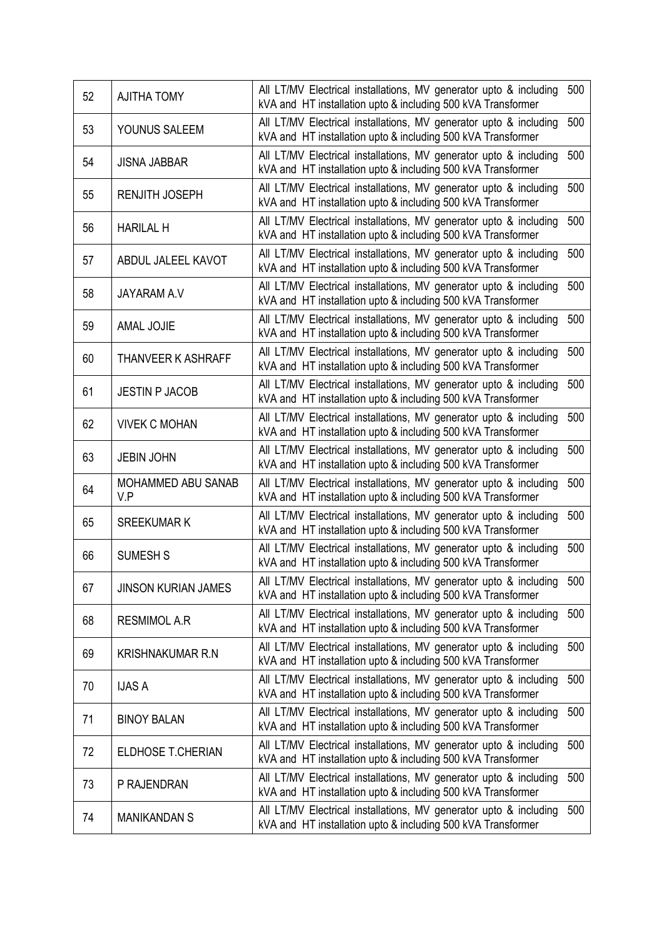| 52 | <b>AJITHA TOMY</b>         | All LT/MV Electrical installations, MV generator upto & including<br>kVA and HT installation upto & including 500 kVA Transformer | 500 |
|----|----------------------------|-----------------------------------------------------------------------------------------------------------------------------------|-----|
| 53 | YOUNUS SALEEM              | All LT/MV Electrical installations, MV generator upto & including<br>kVA and HT installation upto & including 500 kVA Transformer | 500 |
| 54 | <b>JISNA JABBAR</b>        | All LT/MV Electrical installations, MV generator upto & including<br>kVA and HT installation upto & including 500 kVA Transformer | 500 |
| 55 | <b>RENJITH JOSEPH</b>      | All LT/MV Electrical installations, MV generator upto & including<br>kVA and HT installation upto & including 500 kVA Transformer | 500 |
| 56 | <b>HARILAL H</b>           | All LT/MV Electrical installations, MV generator upto & including<br>kVA and HT installation upto & including 500 kVA Transformer | 500 |
| 57 | ABDUL JALEEL KAVOT         | All LT/MV Electrical installations, MV generator upto & including<br>kVA and HT installation upto & including 500 kVA Transformer | 500 |
| 58 | <b>JAYARAM A.V</b>         | All LT/MV Electrical installations, MV generator upto & including<br>kVA and HT installation upto & including 500 kVA Transformer | 500 |
| 59 | <b>AMAL JOJIE</b>          | All LT/MV Electrical installations, MV generator upto & including<br>kVA and HT installation upto & including 500 kVA Transformer | 500 |
| 60 | <b>THANVEER K ASHRAFF</b>  | All LT/MV Electrical installations, MV generator upto & including<br>kVA and HT installation upto & including 500 kVA Transformer | 500 |
| 61 | <b>JESTIN P JACOB</b>      | All LT/MV Electrical installations, MV generator upto & including<br>kVA and HT installation upto & including 500 kVA Transformer | 500 |
| 62 | <b>VIVEK C MOHAN</b>       | All LT/MV Electrical installations, MV generator upto & including<br>kVA and HT installation upto & including 500 kVA Transformer | 500 |
| 63 | <b>JEBIN JOHN</b>          | All LT/MV Electrical installations, MV generator upto & including<br>kVA and HT installation upto & including 500 kVA Transformer | 500 |
| 64 | MOHAMMED ABU SANAB<br>V.P  | All LT/MV Electrical installations, MV generator upto & including<br>kVA and HT installation upto & including 500 kVA Transformer | 500 |
| 65 | <b>SREEKUMAR K</b>         | All LT/MV Electrical installations, MV generator upto & including<br>kVA and HT installation upto & including 500 kVA Transformer | 500 |
| 66 | <b>SUMESH S</b>            | All LT/MV Electrical installations, MV generator upto & including<br>kVA and HT installation upto & including 500 kVA Transformer | 500 |
| 67 | <b>JINSON KURIAN JAMES</b> | All LT/MV Electrical installations, MV generator upto & including<br>kVA and HT installation upto & including 500 kVA Transformer | 500 |
| 68 | <b>RESMIMOL A.R</b>        | All LT/MV Electrical installations, MV generator upto & including<br>kVA and HT installation upto & including 500 kVA Transformer | 500 |
| 69 | <b>KRISHNAKUMAR R.N</b>    | All LT/MV Electrical installations, MV generator upto & including<br>kVA and HT installation upto & including 500 kVA Transformer | 500 |
| 70 | <b>IJAS A</b>              | All LT/MV Electrical installations, MV generator upto & including<br>kVA and HT installation upto & including 500 kVA Transformer | 500 |
| 71 | <b>BINOY BALAN</b>         | All LT/MV Electrical installations, MV generator upto & including<br>kVA and HT installation upto & including 500 kVA Transformer | 500 |
| 72 | ELDHOSE T.CHERIAN          | All LT/MV Electrical installations, MV generator upto & including<br>kVA and HT installation upto & including 500 kVA Transformer | 500 |
| 73 | P RAJENDRAN                | All LT/MV Electrical installations, MV generator upto & including<br>kVA and HT installation upto & including 500 kVA Transformer | 500 |
| 74 | <b>MANIKANDAN S</b>        | All LT/MV Electrical installations, MV generator upto & including<br>kVA and HT installation upto & including 500 kVA Transformer | 500 |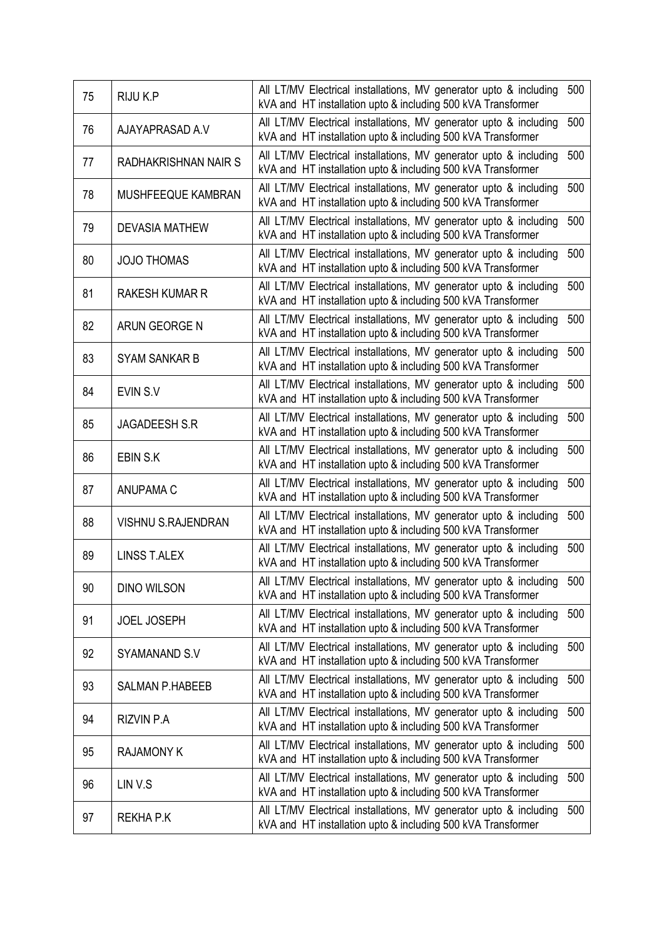| 75 | RIJU K.P                  | All LT/MV Electrical installations, MV generator upto & including<br>kVA and HT installation upto & including 500 kVA Transformer | 500 |
|----|---------------------------|-----------------------------------------------------------------------------------------------------------------------------------|-----|
| 76 | AJAYAPRASAD A.V           | All LT/MV Electrical installations, MV generator upto & including<br>kVA and HT installation upto & including 500 kVA Transformer | 500 |
| 77 | RADHAKRISHNAN NAIR S      | All LT/MV Electrical installations, MV generator upto & including<br>kVA and HT installation upto & including 500 kVA Transformer | 500 |
| 78 | MUSHFEEQUE KAMBRAN        | All LT/MV Electrical installations, MV generator upto & including<br>kVA and HT installation upto & including 500 kVA Transformer | 500 |
| 79 | <b>DEVASIA MATHEW</b>     | All LT/MV Electrical installations, MV generator upto & including<br>kVA and HT installation upto & including 500 kVA Transformer | 500 |
| 80 | <b>JOJO THOMAS</b>        | All LT/MV Electrical installations, MV generator upto & including<br>kVA and HT installation upto & including 500 kVA Transformer | 500 |
| 81 | <b>RAKESH KUMAR R</b>     | All LT/MV Electrical installations, MV generator upto & including<br>kVA and HT installation upto & including 500 kVA Transformer | 500 |
| 82 | ARUN GEORGE N             | All LT/MV Electrical installations, MV generator upto & including<br>kVA and HT installation upto & including 500 kVA Transformer | 500 |
| 83 | <b>SYAM SANKAR B</b>      | All LT/MV Electrical installations, MV generator upto & including<br>kVA and HT installation upto & including 500 kVA Transformer | 500 |
| 84 | EVIN S.V                  | All LT/MV Electrical installations, MV generator upto & including<br>kVA and HT installation upto & including 500 kVA Transformer | 500 |
| 85 | <b>JAGADEESH S.R</b>      | All LT/MV Electrical installations, MV generator upto & including<br>kVA and HT installation upto & including 500 kVA Transformer | 500 |
| 86 | EBIN S.K                  | All LT/MV Electrical installations, MV generator upto & including<br>kVA and HT installation upto & including 500 kVA Transformer | 500 |
| 87 | <b>ANUPAMA C</b>          | All LT/MV Electrical installations, MV generator upto & including<br>kVA and HT installation upto & including 500 kVA Transformer | 500 |
| 88 | <b>VISHNU S.RAJENDRAN</b> | All LT/MV Electrical installations, MV generator upto & including<br>kVA and HT installation upto & including 500 kVA Transformer | 500 |
| 89 | <b>LINSS T.ALEX</b>       | All LT/MV Electrical installations, MV generator upto & including<br>kVA and HT installation upto & including 500 kVA Transformer | 500 |
| 90 | <b>DINO WILSON</b>        | All LT/MV Electrical installations, MV generator upto & including<br>kVA and HT installation upto & including 500 kVA Transformer | 500 |
| 91 | <b>JOEL JOSEPH</b>        | All LT/MV Electrical installations, MV generator upto & including<br>kVA and HT installation upto & including 500 kVA Transformer | 500 |
| 92 | SYAMANAND S.V             | All LT/MV Electrical installations, MV generator upto & including<br>kVA and HT installation upto & including 500 kVA Transformer | 500 |
| 93 | <b>SALMAN P.HABEEB</b>    | All LT/MV Electrical installations, MV generator upto & including<br>kVA and HT installation upto & including 500 kVA Transformer | 500 |
| 94 | <b>RIZVIN P.A</b>         | All LT/MV Electrical installations, MV generator upto & including<br>kVA and HT installation upto & including 500 kVA Transformer | 500 |
| 95 | <b>RAJAMONY K</b>         | All LT/MV Electrical installations, MV generator upto & including<br>kVA and HT installation upto & including 500 kVA Transformer | 500 |
| 96 | LIN V.S                   | All LT/MV Electrical installations, MV generator upto & including<br>kVA and HT installation upto & including 500 kVA Transformer | 500 |
| 97 | REKHA P.K                 | All LT/MV Electrical installations, MV generator upto & including<br>kVA and HT installation upto & including 500 kVA Transformer | 500 |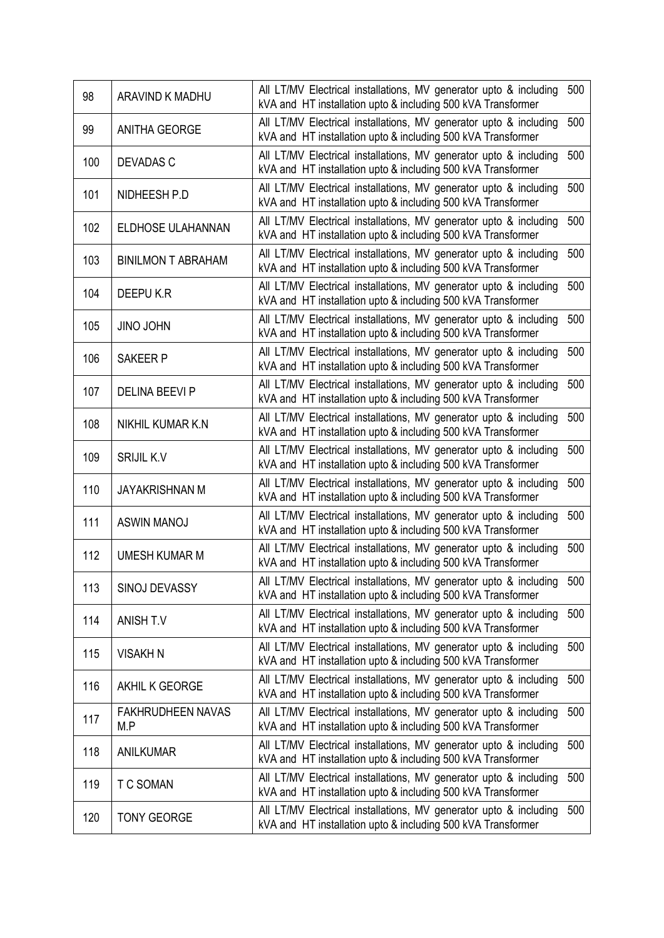| 98  | ARAVIND K MADHU                 | All LT/MV Electrical installations, MV generator upto & including<br>kVA and HT installation upto & including 500 kVA Transformer | 500 |
|-----|---------------------------------|-----------------------------------------------------------------------------------------------------------------------------------|-----|
| 99  | <b>ANITHA GEORGE</b>            | All LT/MV Electrical installations, MV generator upto & including<br>kVA and HT installation upto & including 500 kVA Transformer | 500 |
| 100 | <b>DEVADAS C</b>                | All LT/MV Electrical installations, MV generator upto & including<br>kVA and HT installation upto & including 500 kVA Transformer | 500 |
| 101 | NIDHEESH P.D                    | All LT/MV Electrical installations, MV generator upto & including<br>kVA and HT installation upto & including 500 kVA Transformer | 500 |
| 102 | ELDHOSE ULAHANNAN               | All LT/MV Electrical installations, MV generator upto & including<br>kVA and HT installation upto & including 500 kVA Transformer | 500 |
| 103 | <b>BINILMON T ABRAHAM</b>       | All LT/MV Electrical installations, MV generator upto & including<br>kVA and HT installation upto & including 500 kVA Transformer | 500 |
| 104 | DEEPU K.R                       | All LT/MV Electrical installations, MV generator upto & including<br>kVA and HT installation upto & including 500 kVA Transformer | 500 |
| 105 | <b>JINO JOHN</b>                | All LT/MV Electrical installations, MV generator upto & including<br>kVA and HT installation upto & including 500 kVA Transformer | 500 |
| 106 | <b>SAKEER P</b>                 | All LT/MV Electrical installations, MV generator upto & including<br>kVA and HT installation upto & including 500 kVA Transformer | 500 |
| 107 | <b>DELINA BEEVI P</b>           | All LT/MV Electrical installations, MV generator upto & including<br>kVA and HT installation upto & including 500 kVA Transformer | 500 |
| 108 | NIKHIL KUMAR K.N                | All LT/MV Electrical installations, MV generator upto & including<br>kVA and HT installation upto & including 500 kVA Transformer | 500 |
| 109 | <b>SRIJIL K.V</b>               | All LT/MV Electrical installations, MV generator upto & including<br>kVA and HT installation upto & including 500 kVA Transformer | 500 |
| 110 | <b>JAYAKRISHNAN M</b>           | All LT/MV Electrical installations, MV generator upto & including<br>kVA and HT installation upto & including 500 kVA Transformer | 500 |
| 111 | <b>ASWIN MANOJ</b>              | All LT/MV Electrical installations, MV generator upto & including<br>kVA and HT installation upto & including 500 kVA Transformer | 500 |
| 112 | <b>UMESH KUMAR M</b>            | All LT/MV Electrical installations, MV generator upto & including<br>kVA and HT installation upto & including 500 kVA Transformer | 500 |
| 113 | SINOJ DEVASSY                   | All LT/MV Electrical installations, MV generator upto & including<br>kVA and HT installation upto & including 500 kVA Transformer | 500 |
| 114 | <b>ANISH T.V</b>                | All LT/MV Electrical installations, MV generator upto & including<br>kVA and HT installation upto & including 500 kVA Transformer | 500 |
| 115 | VISAKH N                        | All LT/MV Electrical installations, MV generator upto & including<br>kVA and HT installation upto & including 500 kVA Transformer | 500 |
| 116 | AKHIL K GEORGE                  | All LT/MV Electrical installations, MV generator upto & including<br>kVA and HT installation upto & including 500 kVA Transformer | 500 |
| 117 | <b>FAKHRUDHEEN NAVAS</b><br>M.P | All LT/MV Electrical installations, MV generator upto & including<br>kVA and HT installation upto & including 500 kVA Transformer | 500 |
| 118 | <b>ANILKUMAR</b>                | All LT/MV Electrical installations, MV generator upto & including<br>kVA and HT installation upto & including 500 kVA Transformer | 500 |
| 119 | <b>T C SOMAN</b>                | All LT/MV Electrical installations, MV generator upto & including<br>kVA and HT installation upto & including 500 kVA Transformer | 500 |
| 120 | <b>TONY GEORGE</b>              | All LT/MV Electrical installations, MV generator upto & including<br>kVA and HT installation upto & including 500 kVA Transformer | 500 |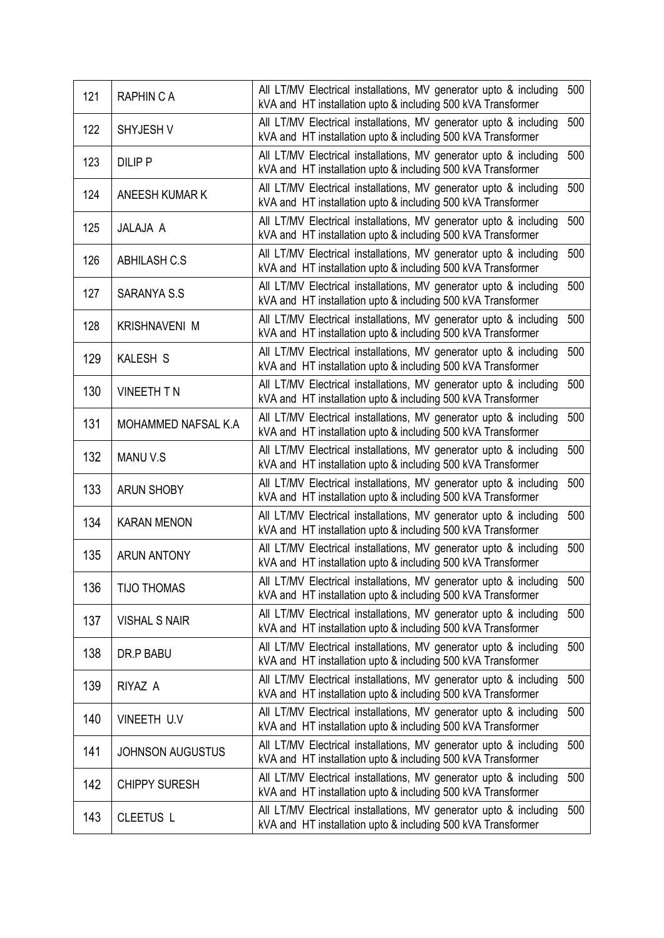| 121 | <b>RAPHIN C A</b>       | All LT/MV Electrical installations, MV generator upto & including<br>kVA and HT installation upto & including 500 kVA Transformer | 500 |
|-----|-------------------------|-----------------------------------------------------------------------------------------------------------------------------------|-----|
| 122 | SHYJESH V               | All LT/MV Electrical installations, MV generator upto & including<br>kVA and HT installation upto & including 500 kVA Transformer | 500 |
| 123 | <b>DILIP P</b>          | All LT/MV Electrical installations, MV generator upto & including<br>kVA and HT installation upto & including 500 kVA Transformer | 500 |
| 124 | <b>ANEESH KUMAR K</b>   | All LT/MV Electrical installations, MV generator upto & including<br>kVA and HT installation upto & including 500 kVA Transformer | 500 |
| 125 | JALAJA A                | All LT/MV Electrical installations, MV generator upto & including<br>kVA and HT installation upto & including 500 kVA Transformer | 500 |
| 126 | <b>ABHILASH C.S</b>     | All LT/MV Electrical installations, MV generator upto & including<br>kVA and HT installation upto & including 500 kVA Transformer | 500 |
| 127 | <b>SARANYA S.S</b>      | All LT/MV Electrical installations, MV generator upto & including<br>kVA and HT installation upto & including 500 kVA Transformer | 500 |
| 128 | <b>KRISHNAVENI M</b>    | All LT/MV Electrical installations, MV generator upto & including<br>kVA and HT installation upto & including 500 kVA Transformer | 500 |
| 129 | <b>KALESH S</b>         | All LT/MV Electrical installations, MV generator upto & including<br>kVA and HT installation upto & including 500 kVA Transformer | 500 |
| 130 | <b>VINEETH T N</b>      | All LT/MV Electrical installations, MV generator upto & including<br>kVA and HT installation upto & including 500 kVA Transformer | 500 |
| 131 | MOHAMMED NAFSAL K.A     | All LT/MV Electrical installations, MV generator upto & including<br>kVA and HT installation upto & including 500 kVA Transformer | 500 |
| 132 | <b>MANUV.S</b>          | All LT/MV Electrical installations, MV generator upto & including<br>kVA and HT installation upto & including 500 kVA Transformer | 500 |
| 133 | <b>ARUN SHOBY</b>       | All LT/MV Electrical installations, MV generator upto & including<br>kVA and HT installation upto & including 500 kVA Transformer | 500 |
| 134 | <b>KARAN MENON</b>      | All LT/MV Electrical installations, MV generator upto & including<br>kVA and HT installation upto & including 500 kVA Transformer | 500 |
| 135 | <b>ARUN ANTONY</b>      | All LT/MV Electrical installations, MV generator upto & including<br>kVA and HT installation upto & including 500 kVA Transformer | 500 |
| 136 | <b>TIJO THOMAS</b>      | All LT/MV Electrical installations, MV generator upto & including<br>kVA and HT installation upto & including 500 kVA Transformer | 500 |
| 137 | <b>VISHAL S NAIR</b>    | All LT/MV Electrical installations, MV generator upto & including<br>kVA and HT installation upto & including 500 kVA Transformer | 500 |
| 138 | DR.P BABU               | All LT/MV Electrical installations, MV generator upto & including<br>kVA and HT installation upto & including 500 kVA Transformer | 500 |
| 139 | RIYAZ A                 | All LT/MV Electrical installations, MV generator upto & including<br>kVA and HT installation upto & including 500 kVA Transformer | 500 |
| 140 | VINEETH U.V             | All LT/MV Electrical installations, MV generator upto & including<br>kVA and HT installation upto & including 500 kVA Transformer | 500 |
| 141 | <b>JOHNSON AUGUSTUS</b> | All LT/MV Electrical installations, MV generator upto & including<br>kVA and HT installation upto & including 500 kVA Transformer | 500 |
| 142 | <b>CHIPPY SURESH</b>    | All LT/MV Electrical installations, MV generator upto & including<br>kVA and HT installation upto & including 500 kVA Transformer | 500 |
| 143 | <b>CLEETUS L</b>        | All LT/MV Electrical installations, MV generator upto & including<br>kVA and HT installation upto & including 500 kVA Transformer | 500 |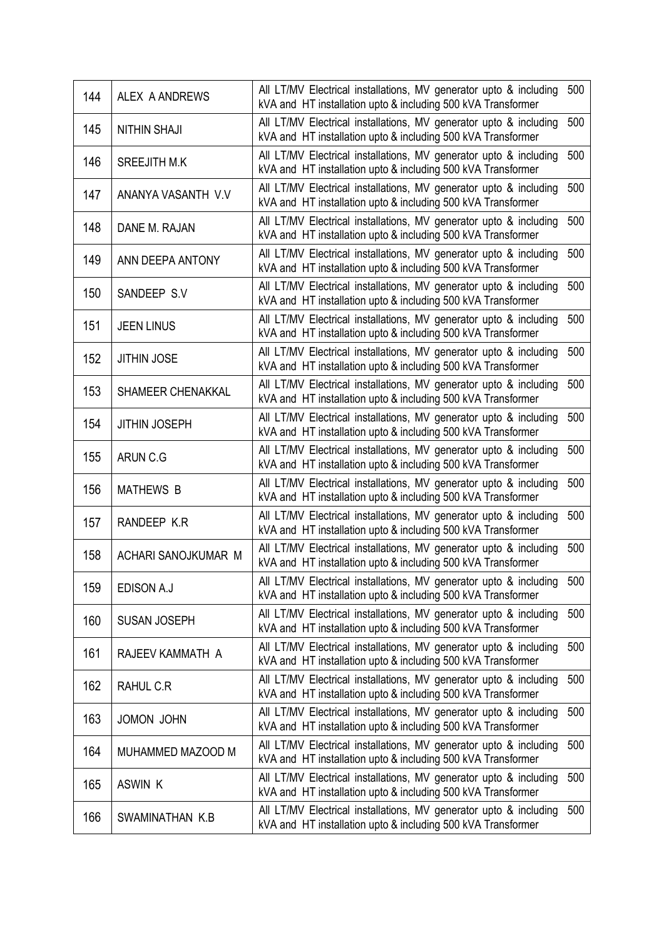| 144 | <b>ALEX A ANDREWS</b> | All LT/MV Electrical installations, MV generator upto & including<br>kVA and HT installation upto & including 500 kVA Transformer | 500 |
|-----|-----------------------|-----------------------------------------------------------------------------------------------------------------------------------|-----|
| 145 | <b>NITHIN SHAJI</b>   | All LT/MV Electrical installations, MV generator upto & including<br>kVA and HT installation upto & including 500 kVA Transformer | 500 |
| 146 | <b>SREEJITH M.K</b>   | All LT/MV Electrical installations, MV generator upto & including<br>kVA and HT installation upto & including 500 kVA Transformer | 500 |
| 147 | ANANYA VASANTH V.V    | All LT/MV Electrical installations, MV generator upto & including<br>kVA and HT installation upto & including 500 kVA Transformer | 500 |
| 148 | DANE M. RAJAN         | All LT/MV Electrical installations, MV generator upto & including<br>kVA and HT installation upto & including 500 kVA Transformer | 500 |
| 149 | ANN DEEPA ANTONY      | All LT/MV Electrical installations, MV generator upto & including<br>kVA and HT installation upto & including 500 kVA Transformer | 500 |
| 150 | SANDEEP S.V           | All LT/MV Electrical installations, MV generator upto & including<br>kVA and HT installation upto & including 500 kVA Transformer | 500 |
| 151 | <b>JEEN LINUS</b>     | All LT/MV Electrical installations, MV generator upto & including<br>kVA and HT installation upto & including 500 kVA Transformer | 500 |
| 152 | <b>JITHIN JOSE</b>    | All LT/MV Electrical installations, MV generator upto & including<br>kVA and HT installation upto & including 500 kVA Transformer | 500 |
| 153 | SHAMEER CHENAKKAL     | All LT/MV Electrical installations, MV generator upto & including<br>kVA and HT installation upto & including 500 kVA Transformer | 500 |
| 154 | <b>JITHIN JOSEPH</b>  | All LT/MV Electrical installations, MV generator upto & including<br>kVA and HT installation upto & including 500 kVA Transformer | 500 |
| 155 | ARUN C.G              | All LT/MV Electrical installations, MV generator upto & including<br>kVA and HT installation upto & including 500 kVA Transformer | 500 |
| 156 | <b>MATHEWS B</b>      | All LT/MV Electrical installations, MV generator upto & including<br>kVA and HT installation upto & including 500 kVA Transformer | 500 |
| 157 | RANDEEP K.R           | All LT/MV Electrical installations, MV generator upto & including<br>kVA and HT installation upto & including 500 kVA Transformer | 500 |
| 158 | ACHARI SANOJKUMAR M   | All LT/MV Electrical installations, MV generator upto & including<br>kVA and HT installation upto & including 500 kVA Transformer | 500 |
| 159 | EDISON A.J            | All LT/MV Electrical installations, MV generator upto & including<br>kVA and HT installation upto & including 500 kVA Transformer | 500 |
| 160 | <b>SUSAN JOSEPH</b>   | All LT/MV Electrical installations, MV generator upto & including<br>kVA and HT installation upto & including 500 kVA Transformer | 500 |
| 161 | RAJEEV KAMMATH A      | All LT/MV Electrical installations, MV generator upto & including<br>kVA and HT installation upto & including 500 kVA Transformer | 500 |
| 162 | RAHUL C.R             | All LT/MV Electrical installations, MV generator upto & including<br>kVA and HT installation upto & including 500 kVA Transformer | 500 |
| 163 | JOMON JOHN            | All LT/MV Electrical installations, MV generator upto & including<br>kVA and HT installation upto & including 500 kVA Transformer | 500 |
| 164 | MUHAMMED MAZOOD M     | All LT/MV Electrical installations, MV generator upto & including<br>kVA and HT installation upto & including 500 kVA Transformer | 500 |
| 165 | ASWIN K               | All LT/MV Electrical installations, MV generator upto & including<br>kVA and HT installation upto & including 500 kVA Transformer | 500 |
| 166 | SWAMINATHAN K.B       | All LT/MV Electrical installations, MV generator upto & including<br>kVA and HT installation upto & including 500 kVA Transformer | 500 |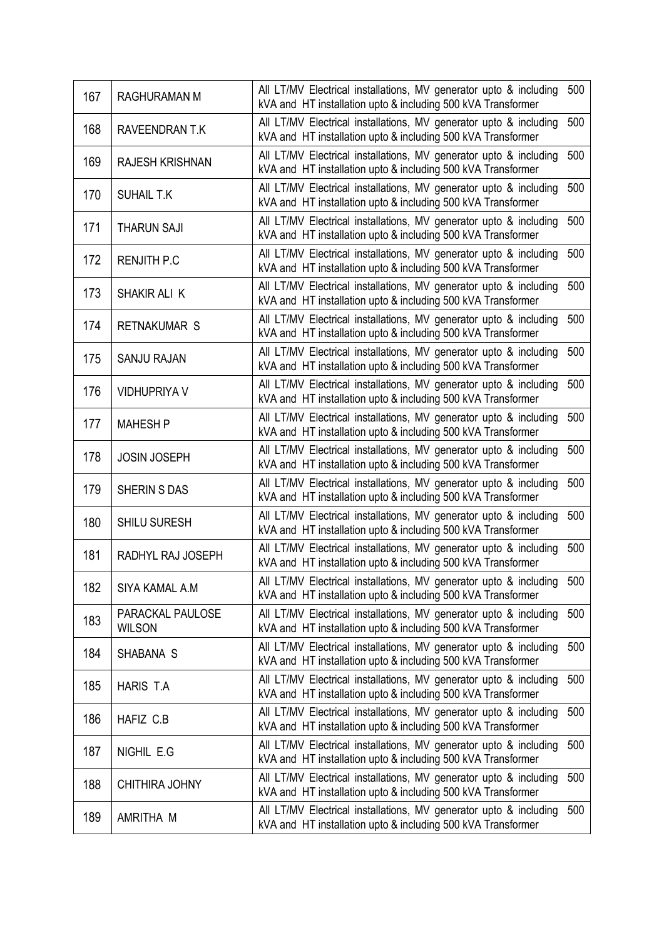| 167 | <b>RAGHURAMAN M</b>               | All LT/MV Electrical installations, MV generator upto & including<br>kVA and HT installation upto & including 500 kVA Transformer | 500 |
|-----|-----------------------------------|-----------------------------------------------------------------------------------------------------------------------------------|-----|
| 168 | RAVEENDRAN T.K                    | All LT/MV Electrical installations, MV generator upto & including<br>kVA and HT installation upto & including 500 kVA Transformer | 500 |
| 169 | <b>RAJESH KRISHNAN</b>            | All LT/MV Electrical installations, MV generator upto & including<br>kVA and HT installation upto & including 500 kVA Transformer | 500 |
| 170 | <b>SUHAIL T.K</b>                 | All LT/MV Electrical installations, MV generator upto & including<br>kVA and HT installation upto & including 500 kVA Transformer | 500 |
| 171 | <b>THARUN SAJI</b>                | All LT/MV Electrical installations, MV generator upto & including<br>kVA and HT installation upto & including 500 kVA Transformer | 500 |
| 172 | <b>RENJITH P.C</b>                | All LT/MV Electrical installations, MV generator upto & including<br>kVA and HT installation upto & including 500 kVA Transformer | 500 |
| 173 | SHAKIR ALI K                      | All LT/MV Electrical installations, MV generator upto & including<br>kVA and HT installation upto & including 500 kVA Transformer | 500 |
| 174 | <b>RETNAKUMAR S</b>               | All LT/MV Electrical installations, MV generator upto & including<br>kVA and HT installation upto & including 500 kVA Transformer | 500 |
| 175 | <b>SANJU RAJAN</b>                | All LT/MV Electrical installations, MV generator upto & including<br>kVA and HT installation upto & including 500 kVA Transformer | 500 |
| 176 | <b>VIDHUPRIYA V</b>               | All LT/MV Electrical installations, MV generator upto & including<br>kVA and HT installation upto & including 500 kVA Transformer | 500 |
| 177 | <b>MAHESH P</b>                   | All LT/MV Electrical installations, MV generator upto & including<br>kVA and HT installation upto & including 500 kVA Transformer | 500 |
| 178 | <b>JOSIN JOSEPH</b>               | All LT/MV Electrical installations, MV generator upto & including<br>kVA and HT installation upto & including 500 kVA Transformer | 500 |
| 179 | <b>SHERIN S DAS</b>               | All LT/MV Electrical installations, MV generator upto & including<br>kVA and HT installation upto & including 500 kVA Transformer | 500 |
| 180 | <b>SHILU SURESH</b>               | All LT/MV Electrical installations, MV generator upto & including<br>kVA and HT installation upto & including 500 kVA Transformer | 500 |
| 181 | RADHYL RAJ JOSEPH                 | All LT/MV Electrical installations, MV generator upto & including<br>kVA and HT installation upto & including 500 kVA Transformer | 500 |
| 182 | SIYA KAMAL A.M                    | All LT/MV Electrical installations, MV generator upto & including<br>kVA and HT installation upto & including 500 kVA Transformer | 500 |
| 183 | PARACKAL PAULOSE<br><b>WILSON</b> | All LT/MV Electrical installations, MV generator upto & including<br>kVA and HT installation upto & including 500 kVA Transformer | 500 |
| 184 | SHABANA S                         | All LT/MV Electrical installations, MV generator upto & including<br>kVA and HT installation upto & including 500 kVA Transformer | 500 |
| 185 | HARIS T.A                         | All LT/MV Electrical installations, MV generator upto & including<br>kVA and HT installation upto & including 500 kVA Transformer | 500 |
| 186 | HAFIZ C.B                         | All LT/MV Electrical installations, MV generator upto & including<br>kVA and HT installation upto & including 500 kVA Transformer | 500 |
| 187 | NIGHIL E.G                        | All LT/MV Electrical installations, MV generator upto & including<br>kVA and HT installation upto & including 500 kVA Transformer | 500 |
| 188 | CHITHIRA JOHNY                    | All LT/MV Electrical installations, MV generator upto & including<br>kVA and HT installation upto & including 500 kVA Transformer | 500 |
| 189 | AMRITHA M                         | All LT/MV Electrical installations, MV generator upto & including<br>kVA and HT installation upto & including 500 kVA Transformer | 500 |